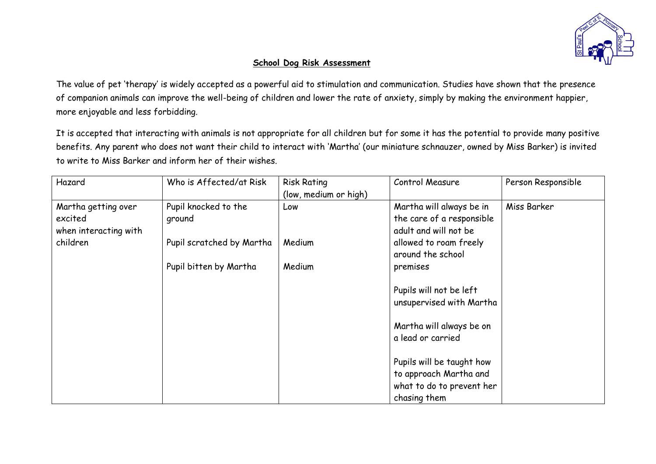

## **School Dog Risk Assessment**

The value of pet 'therapy' is widely accepted as a powerful aid to stimulation and communication. Studies have shown that the presence of companion animals can improve the well-being of children and lower the rate of anxiety, simply by making the environment happier, more enjoyable and less forbidding.

It is accepted that interacting with animals is not appropriate for all children but for some it has the potential to provide many positive benefits. Any parent who does not want their child to interact with 'Martha' (our miniature schnauzer, owned by Miss Barker) is invited to write to Miss Barker and inform her of their wishes.

| Hazard                                                  | Who is Affected/at Risk        | <b>Risk Rating</b><br>(low, medium or high) | Control Measure                                                                                  | Person Responsible |
|---------------------------------------------------------|--------------------------------|---------------------------------------------|--------------------------------------------------------------------------------------------------|--------------------|
| Martha getting over<br>excited<br>when interacting with | Pupil knocked to the<br>ground | Low                                         | Martha will always be in<br>the care of a responsible<br>adult and will not be                   | Miss Barker        |
| children                                                | Pupil scratched by Martha      | Medium                                      | allowed to roam freely<br>around the school                                                      |                    |
|                                                         | Pupil bitten by Martha         | Medium                                      | premises                                                                                         |                    |
|                                                         |                                |                                             | Pupils will not be left<br>unsupervised with Martha                                              |                    |
|                                                         |                                |                                             | Martha will always be on<br>a lead or carried                                                    |                    |
|                                                         |                                |                                             | Pupils will be taught how<br>to approach Martha and<br>what to do to prevent her<br>chasing them |                    |